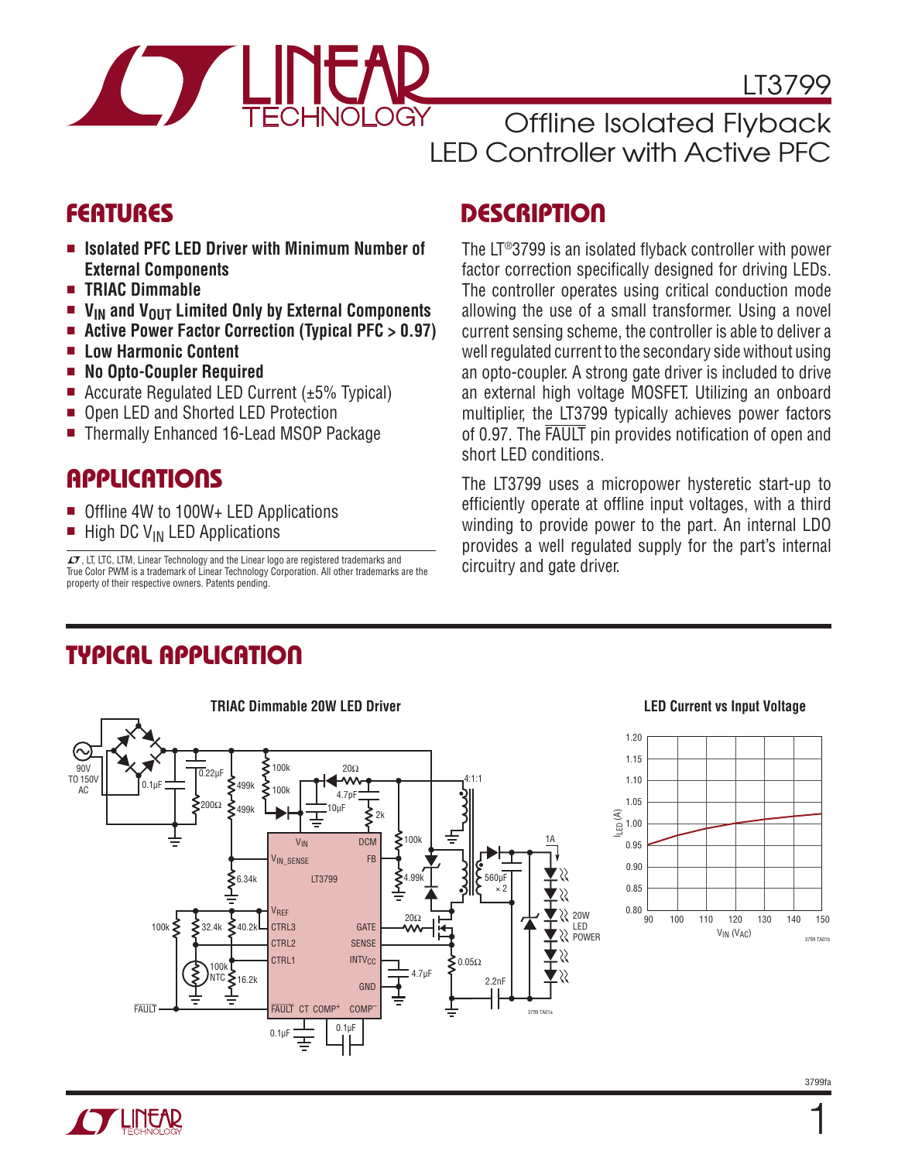

LT3799

Offline Isolated Flyback LED Controller with Active PFC

- **Isolated PFC LED Driver with Minimum Number of External Components**
- <sup>n</sup> **TRIAC Dimmable**
- **n V<sub>IN</sub>** and V<sub>OUT</sub> Limited Only by External Components
- Active Power Factor Correction (Typical PFC > 0.97)
- <sup>n</sup> **Low Harmonic Content**
- <sup>n</sup> **No Opto-Coupler Required**
- Accurate Regulated LED Current  $(\pm 5\%$  Typical)
- Open LED and Shorted LED Protection
- <sup>n</sup> Thermally Enhanced 16-Lead MSOP Package

## **APPLICATIONS**

- Offline 4W to 100W+ LED Applications
- $\blacksquare$  High DC V<sub>IN</sub> LED Applications

 $\sqrt{27}$ , LT, LTC, LTM, Linear Technology and the Linear logo are registered trademarks and True Color PWM is a trademark of Linear Technology Corporation. All other trademarks are the property of their respective owners. Patents pending.

## FEATURES DESCRIPTION

The LT®3799 is an isolated flyback controller with power factor correction specifically designed for driving LEDs. The controller operates using critical conduction mode allowing the use of a small transformer. Using a novel current sensing scheme, the controller is able to deliver a well regulated current to the secondary side without using an opto-coupler. A strong gate driver is included to drive an external high voltage MOSFET. Utilizing an onboard multiplier, the LT3799 typically achieves power factors of 0.97. The FAULT pin provides notification of open and short LED conditions.

The LT3799 uses a micropower hysteretic start-up to efficiently operate at offline input voltages, with a third winding to provide power to the part. An internal LDO provides a well regulated supply for the part's internal circuitry and gate driver.

## Typical Application



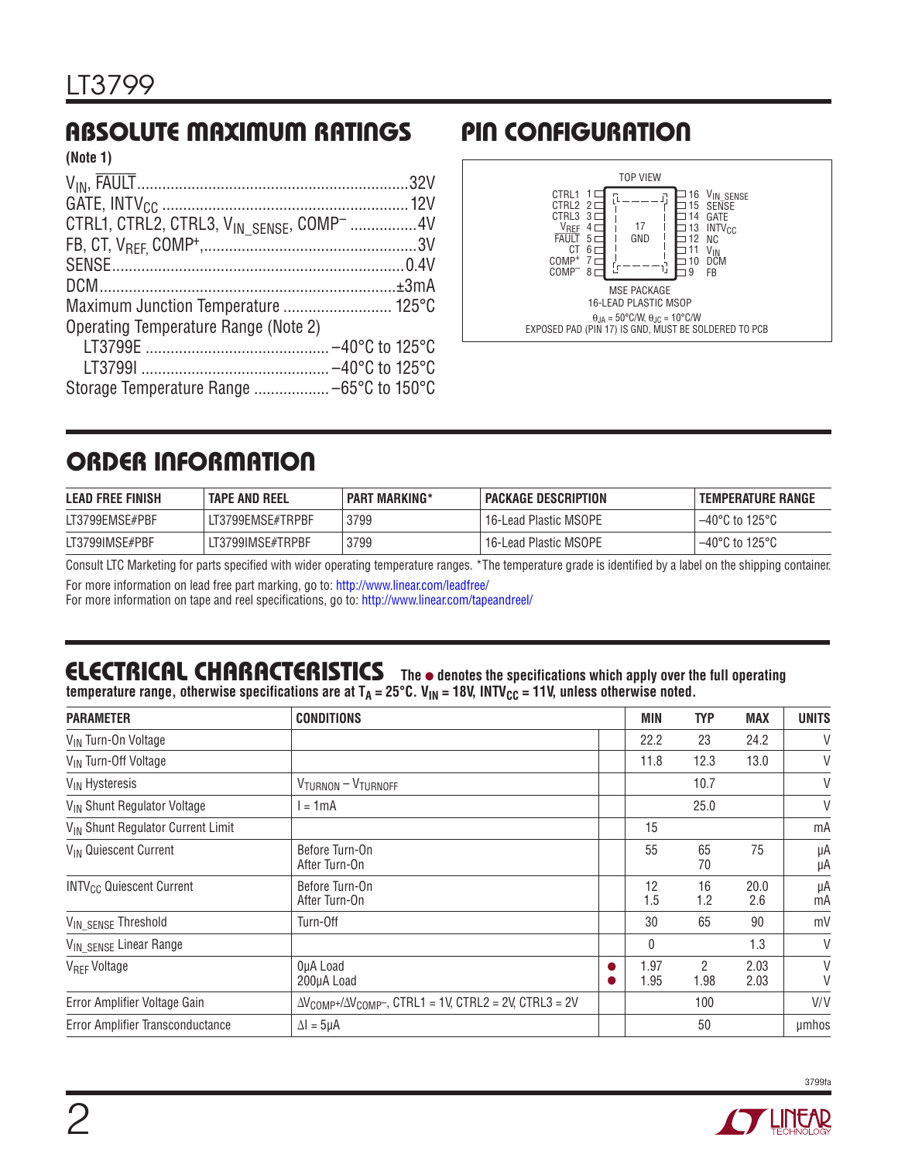#### Absolute Maximum Ratings Pin Configuration **(Note 1)**

| (NOLE 1)                                                          |  |
|-------------------------------------------------------------------|--|
|                                                                   |  |
|                                                                   |  |
| CTRL1, CTRL2, CTRL3, V <sub>IN SENSE</sub> , COMP <sup>-</sup> 4V |  |
|                                                                   |  |
|                                                                   |  |
|                                                                   |  |
|                                                                   |  |
| Operating Temperature Range (Note 2)                              |  |
|                                                                   |  |
|                                                                   |  |
|                                                                   |  |



## Order Information

| <b>LEAD FREE FINISH</b> | <b>TAPE AND REEL</b> | <b>PART MARKING*</b> | PACKAGE DESCRIPTION   | I TEMPERATURE RANGE                 |
|-------------------------|----------------------|----------------------|-----------------------|-------------------------------------|
| LT3799EMSE#PBF          | LT3799EMSE#TRPBF     | 3799                 | 16-Lead Plastic MSOPE | $-40^{\circ}$ C to 125 $^{\circ}$ C |
| LT3799IMSE#PBF          | LT3799IMSE#TRPBF     | 3799                 | 16-Lead Plastic MSOPE | $-40^{\circ}$ C to 125 $^{\circ}$ C |

Consult LTC Marketing for parts specified with wider operating temperature ranges. \*The temperature grade is identified by a label on the shipping container.

For more information on lead free part marking, go to: http://www.linear.com/leadfree/

For more information on tape and reel specifications, go to: http://www.linear.com/tapeandreel/

# **ELECTRICAL CHARACTERISTICS** The  $\bullet$  denotes the specifications which apply over the full operating

temperature range, otherwise specifications are at T<sub>A</sub> = 25°C. V<sub>IN</sub> = 18V, INTV<sub>CC</sub> = 11V, unless otherwise noted.

| <b>PARAMETER</b>                              | <b>CONDITIONS</b>                                                                      | <b>MIN</b>   | <b>TYP</b> | MAX          | <b>UNITS</b> |
|-----------------------------------------------|----------------------------------------------------------------------------------------|--------------|------------|--------------|--------------|
| V <sub>IN</sub> Turn-On Voltage               |                                                                                        | 22.2         | 23         | 24.2         | V            |
| V <sub>IN</sub> Turn-Off Voltage              |                                                                                        | 11.8         | 12.3       | 13.0         | V            |
| V <sub>IN</sub> Hysteresis                    | $V_{TURNON} - V_{TURNOFF}$                                                             |              | 10.7       |              | V            |
| V <sub>IN</sub> Shunt Regulator Voltage       | $= 1$ mA                                                                               |              | 25.0       |              | V            |
| V <sub>IN</sub> Shunt Regulator Current Limit |                                                                                        | 15           |            |              | mA           |
| V <sub>IN</sub> Quiescent Current             | Before Turn-On<br>After Turn-On                                                        | 55           | 65<br>70   | 75           | μA<br>μA     |
| <b>INTV<sub>CC</sub></b> Quiescent Current    | Before Turn-On<br>After Turn-On                                                        | 12<br>1.5    | 16<br>1.2  | 20.0<br>2.6  | μA<br>mA     |
| V <sub>IN_SENSE</sub> Threshold               | Turn-Off                                                                               | 30           | 65         | 90           | mV           |
| VIN_SENSE Linear Range                        |                                                                                        | 0            |            | 1.3          | V            |
| V <sub>REF</sub> Voltage                      | OµA Load<br>200µA Load                                                                 | 1.97<br>1.95 | 2<br>1.98  | 2.03<br>2.03 | V<br>V       |
| Error Amplifier Voltage Gain                  | $\Delta V_{\text{COMP+}}/\Delta V_{\text{COMP-}}$ , CTRL1 = 1V, CTRL2 = 2V, CTRL3 = 2V |              | 100        |              | V/V          |
| Error Amplifier Transconductance              | $\Delta I = 5\mu A$                                                                    |              | 50         |              | umhos        |



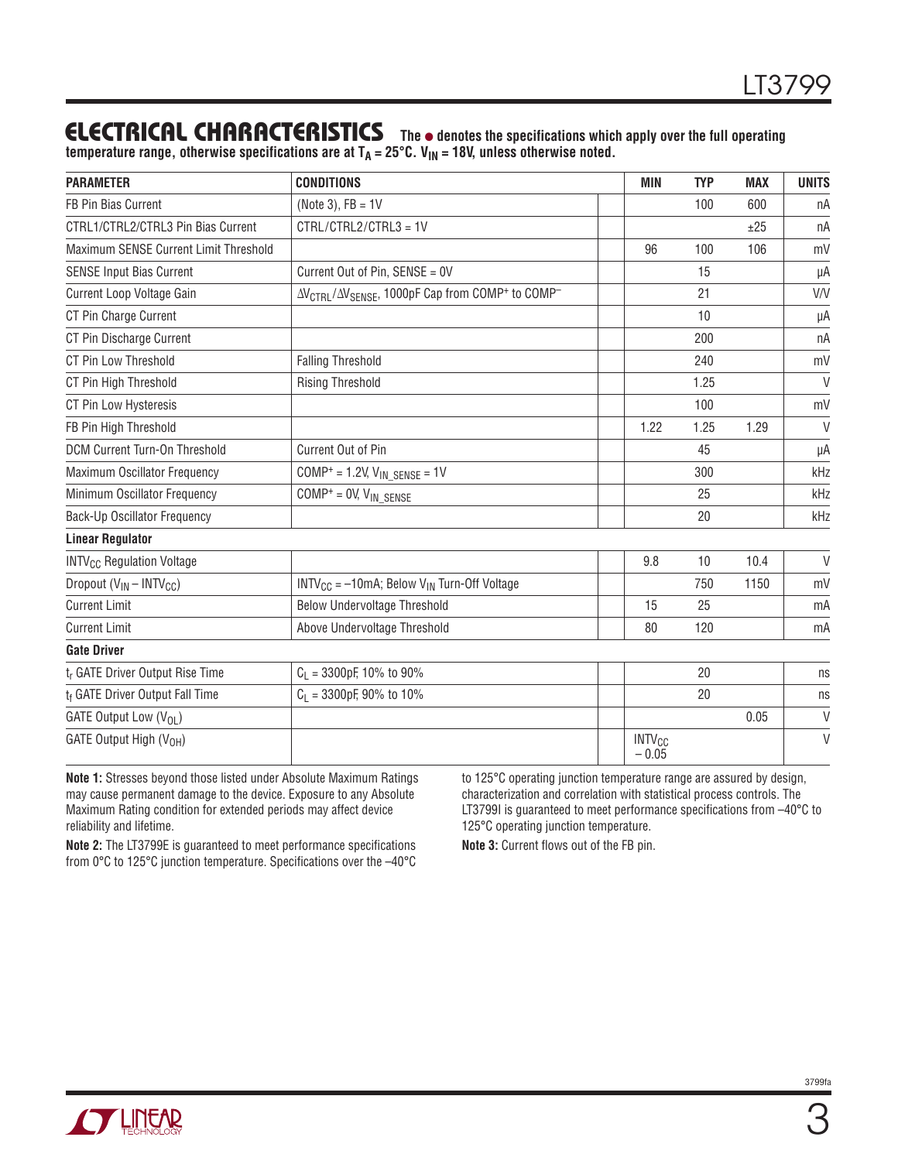## **ELECTRICAL CHARACTERISTICS** The  $\bullet$  denotes the specifications which apply over the full operating

temperature range, otherwise specifications are at T<sub>A</sub> = 25°C. V<sub>IN</sub> = 18V, unless otherwise noted.

| <b>PARAMETER</b>                            | <b>CONDITIONS</b>                                                                                | <b>MIN</b>                          | <b>TYP</b> | <b>MAX</b> | <b>UNITS</b> |
|---------------------------------------------|--------------------------------------------------------------------------------------------------|-------------------------------------|------------|------------|--------------|
| FB Pin Bias Current                         | (Note 3), $FB = 1V$                                                                              |                                     | 100        | 600        | nA           |
| CTRL1/CTRL2/CTRL3 Pin Bias Current          | CTRL/CTRL2/CTRL3 = 1V                                                                            |                                     |            | ±25        | nA           |
| Maximum SENSE Current Limit Threshold       |                                                                                                  | 96                                  | 100        | 106        | mV           |
| <b>SENSE Input Bias Current</b>             | Current Out of Pin, SENSE = 0V                                                                   |                                     | 15         |            | μA           |
| Current Loop Voltage Gain                   | ΔV <sub>CTRL</sub> /ΔV <sub>SENSE</sub> , 1000pF Cap from COMP <sup>+</sup> to COMP <sup>-</sup> |                                     | 21         |            | V/V          |
| CT Pin Charge Current                       |                                                                                                  |                                     | 10         |            | μA           |
| CT Pin Discharge Current                    |                                                                                                  |                                     | 200        |            | nA           |
| CT Pin Low Threshold                        | <b>Falling Threshold</b>                                                                         |                                     | 240        |            | mV           |
| CT Pin High Threshold                       | <b>Rising Threshold</b>                                                                          |                                     | 1.25       |            | $\vee$       |
| CT Pin Low Hysteresis                       |                                                                                                  |                                     | 100        |            | mV           |
| FB Pin High Threshold                       |                                                                                                  | 1.22                                | 1.25       | 1.29       | $\vee$       |
| DCM Current Turn-On Threshold               | Current Out of Pin                                                                               |                                     | 45         |            | μA           |
| Maximum Oscillator Frequency                | $COMP^+ = 1.2V$ , $V_{IN}$ $SENSE = 1V$                                                          |                                     | 300        |            | kHz          |
| Minimum Oscillator Frequency                | $COMP^+ = 0 V, V_{IN\_SENSE}$                                                                    |                                     | 25         |            | kHz          |
| <b>Back-Up Oscillator Frequency</b>         |                                                                                                  |                                     | 20         |            | kHz          |
| <b>Linear Regulator</b>                     |                                                                                                  |                                     |            |            |              |
| <b>INTV<sub>CC</sub></b> Regulation Voltage |                                                                                                  | 9.8                                 | 10         | 10.4       | $\vee$       |
| Dropout $(V_{IN} - INTV_{CC})$              | $INTV_{CC} = -10mA$ ; Below $V_{IN}$ Turn-Off Voltage                                            |                                     | 750        | 1150       | mV           |
| <b>Current Limit</b>                        | <b>Below Undervoltage Threshold</b>                                                              | 15                                  | 25         |            | mA           |
| <b>Current Limit</b>                        | Above Undervoltage Threshold                                                                     | 80                                  | 120        |            | mA           |
| <b>Gate Driver</b>                          |                                                                                                  |                                     |            |            |              |
| t <sub>r</sub> GATE Driver Output Rise Time | $C_1$ = 3300pF, 10% to 90%                                                                       |                                     | 20         |            | ns           |
| t <sub>f</sub> GATE Driver Output Fall Time | $C_1$ = 3300pF, 90% to 10%                                                                       |                                     | 20         |            | ns           |
| GATE Output Low $(V_{01})$                  |                                                                                                  |                                     |            | 0.05       | $\vee$       |
| GATE Output High (V <sub>OH</sub> )         |                                                                                                  | <b>INTV<sub>CC</sub></b><br>$-0.05$ |            |            | $\vee$       |

**Note 1:** Stresses beyond those listed under Absolute Maximum Ratings may cause permanent damage to the device. Exposure to any Absolute Maximum Rating condition for extended periods may affect device reliability and lifetime.

**Note 2:** The LT3799E is guaranteed to meet performance specifications from 0°C to 125°C junction temperature. Specifications over the –40°C

to 125°C operating junction temperature range are assured by design, characterization and correlation with statistical process controls. The LT3799I is guaranteed to meet performance specifications from  $-40^{\circ}$ C to 125°C operating junction temperature.

**Note 3:** Current flows out of the FB pin.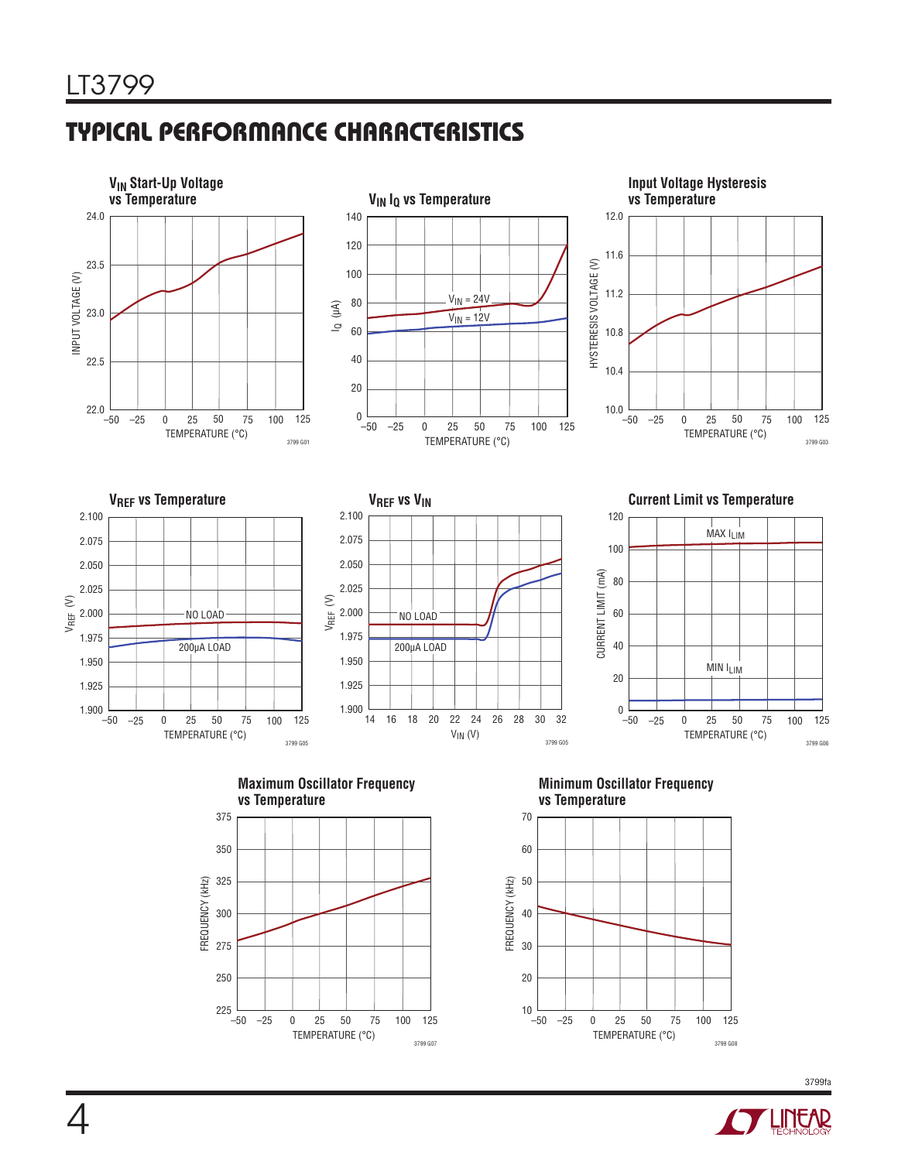# Typical Performance Characteristics



TEMPERATURE (°C)

0 50 75

–25 25 100 125

3799 G07

–50 225

250

3799 G08

TEMPERATURE (°C)

0 50 75

–25 25 100 125

–50 10

20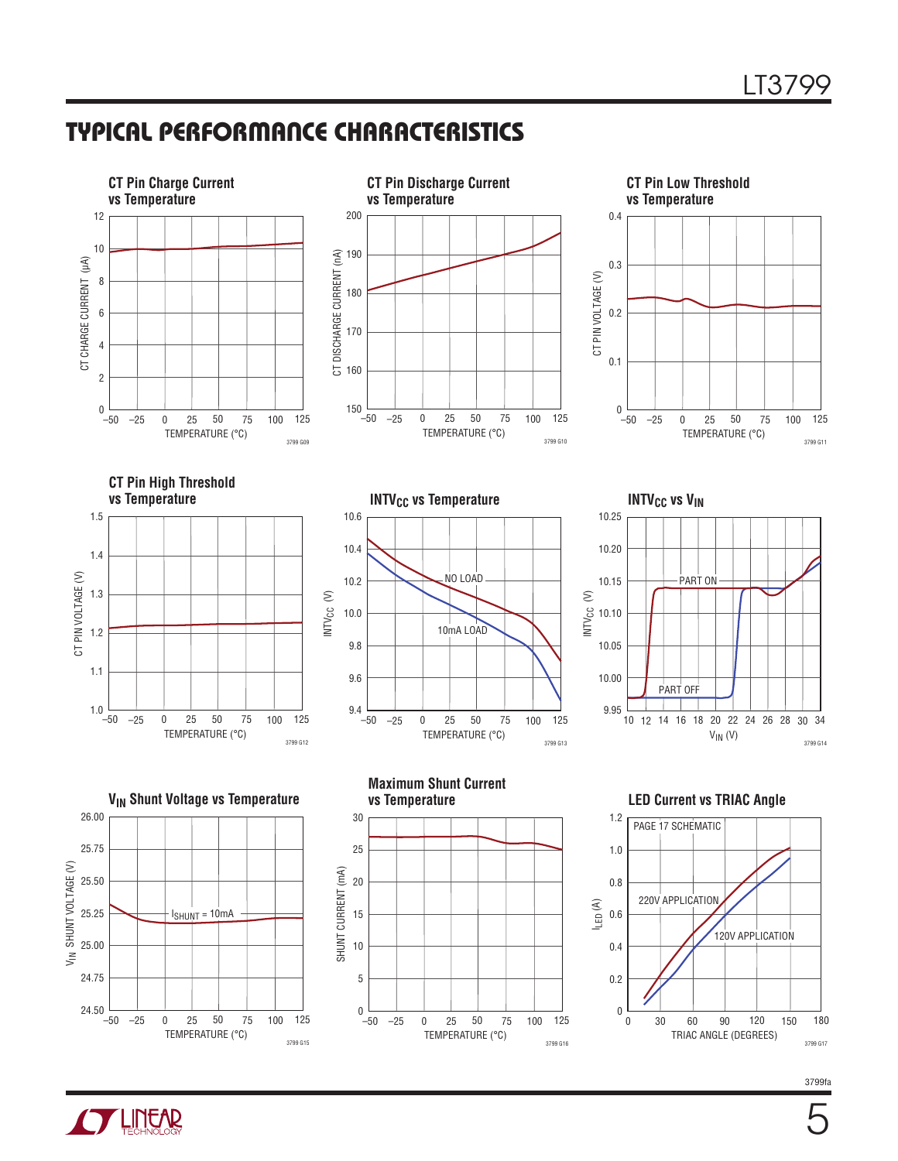## Typical Performance Characteristics



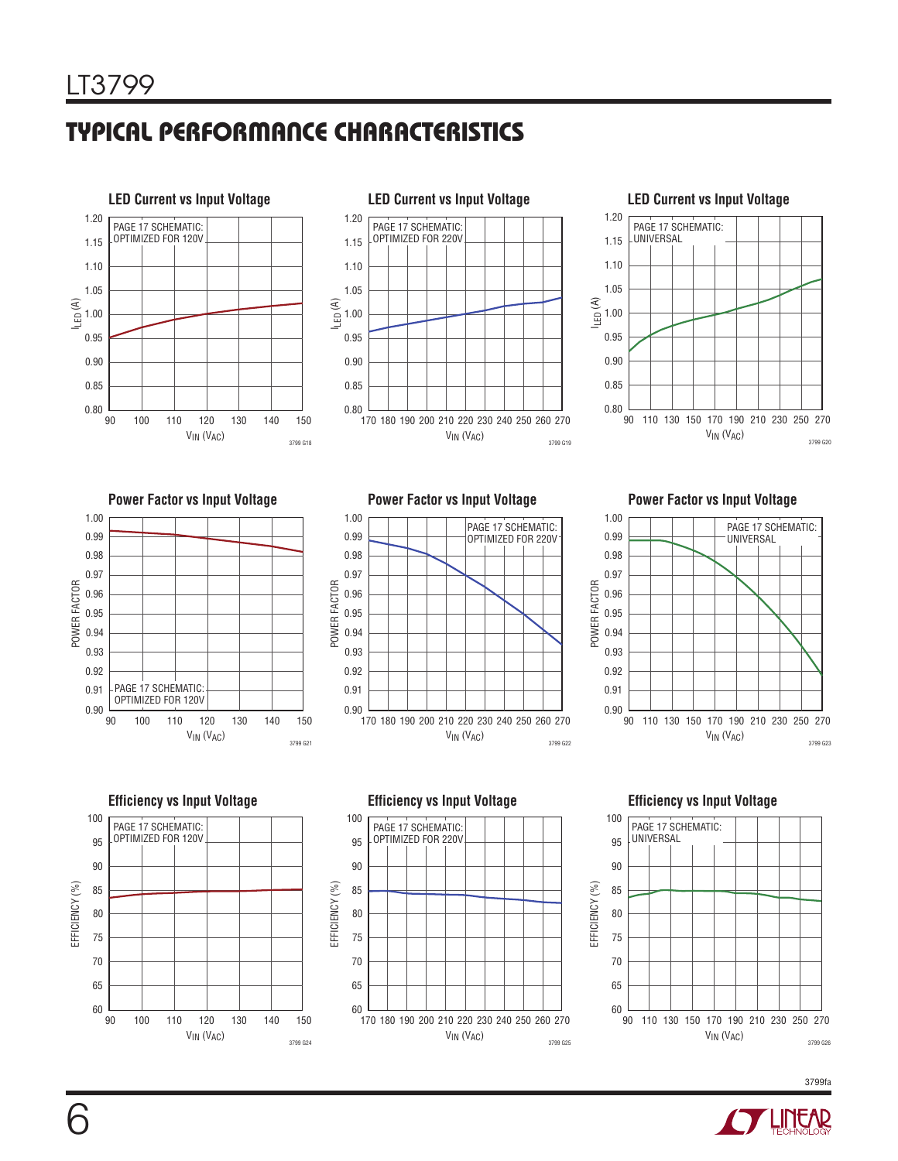# Typical Performance Characteristics







**Power Factor vs Input Voltage**



**Power Factor vs Input Voltage**



#### **Power Factor vs Input Voltage**



**Efficiency vs Input Voltage** 100 PAGE 17 SCHEMATIC: OPTIMIZED FOR 120V 95 90 EFFICIENCY (%) EFFICIENCY (%) 85 80 75 70 65  $60 \nvert \nvert \nvert \nvert \nvert \nvert \nvert \nvert$ 90 100 110 130120 140 150 V<sub>IN</sub> (V<sub>AC</sub>) 3799 G24

**Efficiency vs Input Voltage**



**Efficiency vs Input Voltage**



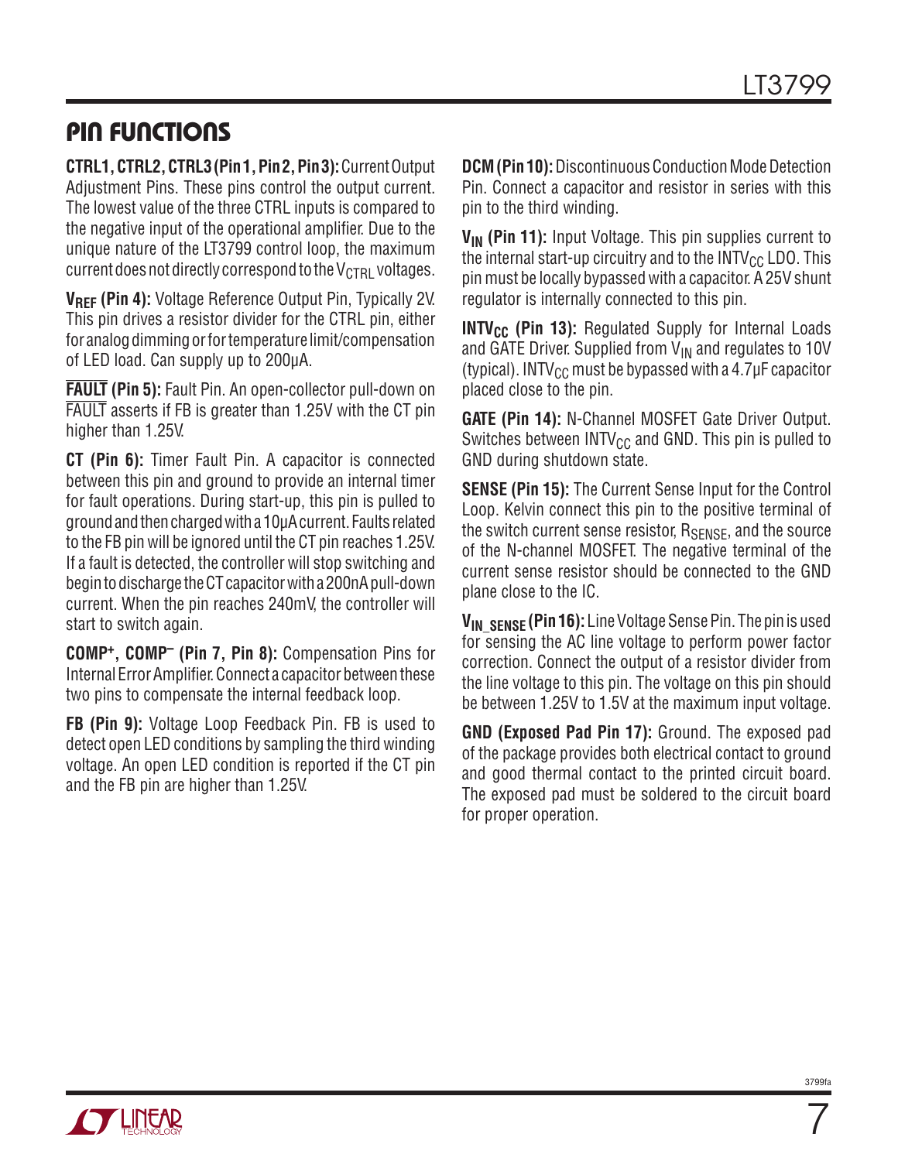## Pin Functions

**CTRL1, CTRL2, CTRL3 (Pin 1, Pin 2, Pin 3):** Current Output Adjustment Pins. These pins control the output current. The lowest value of the three CTRL inputs is compared to the negative input of the operational amplifier. Due to the unique nature of the LT3799 control loop, the maximum current does not directly correspond to the  $V_{\text{CTRI}}$  voltages.

**VREF (Pin 4):** Voltage Reference Output Pin, Typically 2V. This pin drives a resistor divider for the CTRL pin, either for analog dimming or for temperature limit/compensation of LED load. Can supply up to 200µA.

**FAULT (Pin 5):** Fault Pin. An open-collector pull-down on FAULT asserts if FB is greater than 1.25V with the CT pin higher than 1.25V.

**CT (Pin 6):** Timer Fault Pin. A capacitor is connected between this pin and ground to provide an internal timer for fault operations. During start-up, this pin is pulled to ground and then charged with a 10µA current. Faults related to the FB pin will be ignored until the CT pin reaches 1.25V. If a fault is detected, the controller will stop switching and begin to discharge the CT capacitor with a 200nA pull-down current. When the pin reaches 240mV, the controller will start to switch again.

**COMP+, COMP– (Pin 7, Pin 8):** Compensation Pins for Internal Error Amplifier. Connect a capacitor between these two pins to compensate the internal feedback loop.

**FB (Pin 9):** Voltage Loop Feedback Pin. FB is used to detect open LED conditions by sampling the third winding voltage. An open LED condition is reported if the CT pin and the FB pin are higher than 1.25V.

**DCM (Pin 10):** Discontinuous Conduction Mode Detection Pin. Connect a capacitor and resistor in series with this pin to the third winding.

V<sub>IN</sub> (Pin 11): Input Voltage. This pin supplies current to the internal start-up circuitry and to the  $INTV_{CC}$  LDO. This pin must be locally bypassed with a capacitor. A 25V shunt regulator is internally connected to this pin.

**INTV<sub>CC</sub>** (Pin 13): Regulated Supply for Internal Loads and GATE Driver. Supplied from  $V_{IN}$  and regulates to 10V (typical). INTV<sub>CC</sub> must be bypassed with a 4.7 $\mu$ F capacitor placed close to the pin.

**GATE (Pin 14):** N-Channel MOSFET Gate Driver Output. Switches between  $INTV_{CC}$  and GND. This pin is pulled to GND during shutdown state.

**SENSE (Pin 15):** The Current Sense Input for the Control Loop. Kelvin connect this pin to the positive terminal of the switch current sense resistor,  $R_{\text{SENSE}}$ , and the source of the N-channel MOSFET. The negative terminal of the current sense resistor should be connected to the GND plane close to the IC.

**VIN\_SENSE (Pin 16):** Line Voltage Sense Pin. The pin is used for sensing the AC line voltage to perform power factor correction. Connect the output of a resistor divider from the line voltage to this pin. The voltage on this pin should be between 1.25V to 1.5V at the maximum input voltage.

**GND (Exposed Pad Pin 17):** Ground. The exposed pad of the package provides both electrical contact to ground and good thermal contact to the printed circuit board. The exposed pad must be soldered to the circuit board for proper operation.

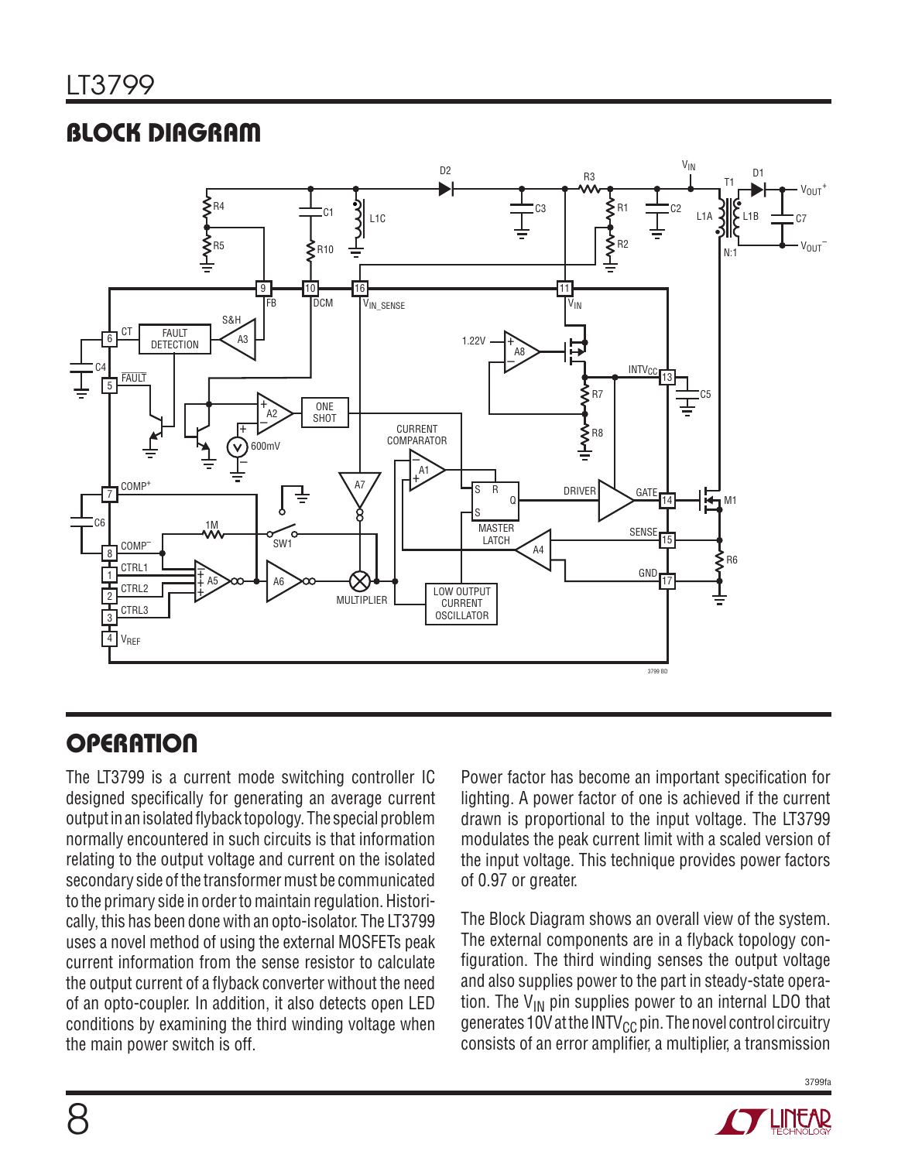# Block Diagram



# **OPERATION**

The LT3799 is a current mode switching controller IC designed specifically for generating an average current output in an isolated flyback topology. The special problem normally encountered in such circuits is that information relating to the output voltage and current on the isolated secondary side of the transformer must be communicated to the primary side in order to maintain regulation. Historically, this has been done with an opto-isolator. The LT3799 uses a novel method of using the external MOSFETs peak current information from the sense resistor to calculate the output current of a flyback converter without the need of an opto-coupler. In addition, it also detects open LED conditions by examining the third winding voltage when the main power switch is off.

Power factor has become an important specification for lighting. A power factor of one is achieved if the current drawn is proportional to the input voltage. The LT3799 modulates the peak current limit with a scaled version of the input voltage. This technique provides power factors of 0.97 or greater.

The Block Diagram shows an overall view of the system. The external components are in a flyback topology configuration. The third winding senses the output voltage and also supplies power to the part in steady-state operation. The  $V_{IN}$  pin supplies power to an internal LDO that generates 10V at the INTV<sub>CC</sub> pin. The novel control circuitry consists of an error amplifier, a multiplier, a transmission

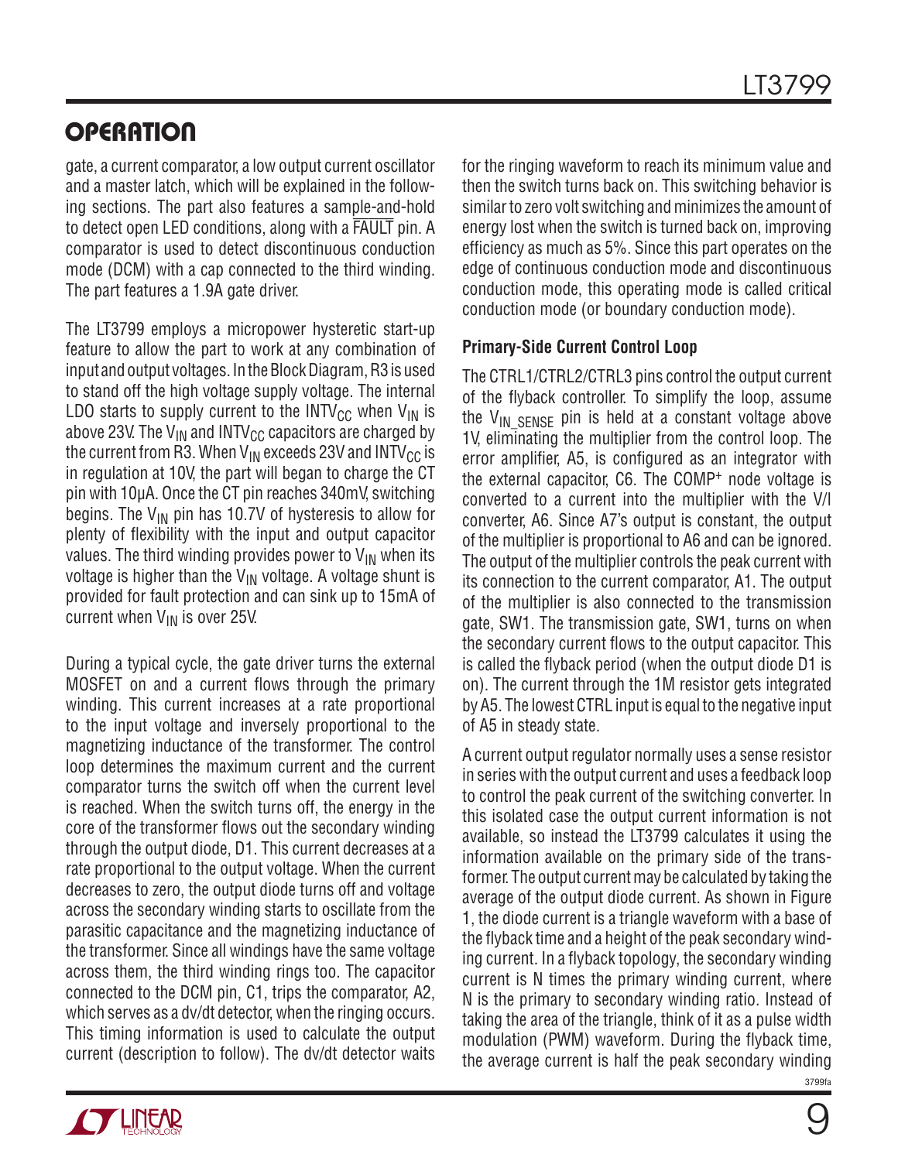gate, a current comparator, a low output current oscillator and a master latch, which will be explained in the following sections. The part also features a sample-and-hold to detect open LED conditions, along with a FAULT pin. A comparator is used to detect discontinuous conduction mode (DCM) with a cap connected to the third winding. The part features a 1.9A gate driver.

The LT3799 employs a micropower hysteretic start-up feature to allow the part to work at any combination of input and output voltages. In the Block Diagram, R3 is used to stand off the high voltage supply voltage. The internal LDO starts to supply current to the INTV<sub>CC</sub> when  $V_{IN}$  is above 23V. The  $V_{IN}$  and INTV<sub>CC</sub> capacitors are charged by the current from R3. When  $V_{IN}$  exceeds 23V and INTV<sub>CC</sub> is in regulation at 10V, the part will began to charge the CT pin with 10µA. Once the CT pin reaches 340mV, switching begins. The  $V_{IN}$  pin has 10.7V of hysteresis to allow for plenty of flexibility with the input and output capacitor values. The third winding provides power to  $V_{IN}$  when its voltage is higher than the  $V_{IN}$  voltage. A voltage shunt is provided for fault protection and can sink up to 15mA of current when  $V_{IN}$  is over 25V.

During a typical cycle, the gate driver turns the external MOSFET on and a current flows through the primary winding. This current increases at a rate proportional to the input voltage and inversely proportional to the magnetizing inductance of the transformer. The control loop determines the maximum current and the current comparator turns the switch off when the current level is reached. When the switch turns off, the energy in the core of the transformer flows out the secondary winding through the output diode, D1. This current decreases at a rate proportional to the output voltage. When the current decreases to zero, the output diode turns off and voltage across the secondary winding starts to oscillate from the parasitic capacitance and the magnetizing inductance of the transformer. Since all windings have the same voltage across them, the third winding rings too. The capacitor connected to the DCM pin, C1, trips the comparator, A2, which serves as a dv/dt detector, when the ringing occurs. This timing information is used to calculate the output current (description to follow). The dv/dt detector waits for the ringing waveform to reach its minimum value and then the switch turns back on. This switching behavior is similar to zero volt switching and minimizes the amount of energy lost when the switch is turned back on, improving efficiency as much as 5%. Since this part operates on the edge of continuous conduction mode and discontinuous conduction mode, this operating mode is called critical conduction mode (or boundary conduction mode).

### **Primary-Side Current Control Loop**

The CTRL1/CTRL2/CTRL3 pins control the output current of the flyback controller. To simplify the loop, assume the  $V_{IN}$  sense pin is held at a constant voltage above 1V, eliminating the multiplier from the control loop. The error amplifier, A5, is configured as an integrator with the external capacitor, C6. The COMP+ node voltage is converted to a current into the multiplier with the V/I converter, A6. Since A7's output is constant, the output of the multiplier is proportional to A6 and can be ignored. The output of the multiplier controls the peak current with its connection to the current comparator, A1. The output of the multiplier is also connected to the transmission gate, SW1. The transmission gate, SW1, turns on when the secondary current flows to the output capacitor. This is called the flyback period (when the output diode D1 is on). The current through the 1M resistor gets integrated by A5. The lowest CTRL input is equal to the negative input of A5 in steady state.

3799fa A current output regulator normally uses a sense resistor in series with the output current and uses a feedback loop to control the peak current of the switching converter. In this isolated case the output current information is not available, so instead the LT3799 calculates it using the information available on the primary side of the transformer. The output current may be calculated by taking the average of the output diode current. As shown in Figure 1, the diode current is a triangle waveform with a base of the flyback time and a height of the peak secondary winding current. In a flyback topology, the secondary winding current is N times the primary winding current, where N is the primary to secondary winding ratio. Instead of taking the area of the triangle, think of it as a pulse width modulation (PWM) waveform. During the flyback time, the average current is half the peak secondary winding

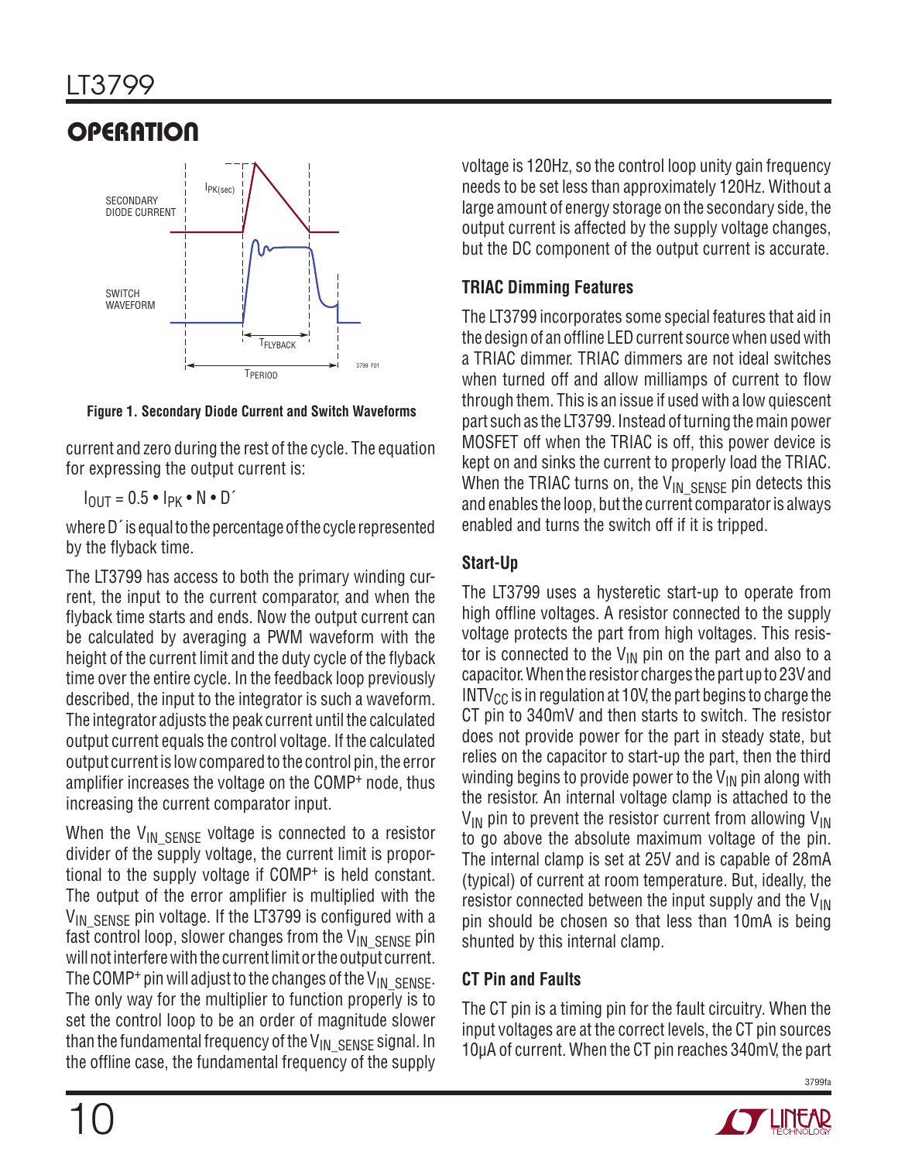

**Figure 1. Secondary Diode Current and Switch Waveforms**

current and zero during the rest of the cycle. The equation for expressing the output current is:

 $I_{\text{OUT}} = 0.5 \cdot I_{\text{PK}} \cdot N \cdot D'$ 

where D´ is equal to the percentage of the cycle represented by the flyback time.

The LT3799 has access to both the primary winding current, the input to the current comparator, and when the flyback time starts and ends. Now the output current can be calculated by averaging a PWM waveform with the height of the current limit and the duty cycle of the flyback time over the entire cycle. In the feedback loop previously described, the input to the integrator is such a waveform. The integrator adjusts the peak current until the calculated output current equals the control voltage. If the calculated output current is low compared to the control pin, the error amplifier increases the voltage on the COMP+ node, thus increasing the current comparator input.

When the  $V_{IN}$  sense voltage is connected to a resistor divider of the supply voltage, the current limit is proportional to the supply voltage if COMP+ is held constant. The output of the error amplifier is multiplied with the  $V_{\text{IN}}$  s<sub>ENSE</sub> pin voltage. If the LT3799 is configured with a fast control loop, slower changes from the  $V_{IN\_SENSE}$  pin will not interfere with the current limit or the output current. The COMP<sup>+</sup> pin will adjust to the changes of the V<sub>IN</sub> SENSE. The only way for the multiplier to function properly is to set the control loop to be an order of magnitude slower than the fundamental frequency of the  $V_{IN\_SENSE}$  signal. In the offline case, the fundamental frequency of the supply

voltage is 120Hz, so the control loop unity gain frequency needs to be set less than approximately 120Hz. Without a large amount of energy storage on the secondary side, the output current is affected by the supply voltage changes, but the DC component of the output current is accurate.

## **TRIAC Dimming Features**

The LT3799 incorporates some special features that aid in the design of an offline LED current source when used with a TRIAC dimmer. TRIAC dimmers are not ideal switches when turned off and allow milliamps of current to flow through them. This is an issue if used with a low quiescent part such as the LT3799. Instead of turning the main power MOSFET off when the TRIAC is off, this power device is kept on and sinks the current to properly load the TRIAC. When the TRIAC turns on, the  $V_{IN}$  SENSE pin detects this and enables the loop, but the current comparator is always enabled and turns the switch off if it is tripped.

## **Start-Up**

The LT3799 uses a hysteretic start-up to operate from high offline voltages. A resistor connected to the supply voltage protects the part from high voltages. This resistor is connected to the  $V_{IN}$  pin on the part and also to a capacitor. When the resistor charges the part up to 23V and  $INTV_{CC}$  is in regulation at 10V, the part begins to charge the CT pin to 340mV and then starts to switch. The resistor does not provide power for the part in steady state, but relies on the capacitor to start-up the part, then the third winding begins to provide power to the  $V_{IN}$  pin along with the resistor. An internal voltage clamp is attached to the  $V_{IN}$  pin to prevent the resistor current from allowing  $V_{IN}$ to go above the absolute maximum voltage of the pin. The internal clamp is set at 25V and is capable of 28mA (typical) of current at room temperature. But, ideally, the resistor connected between the input supply and the  $V_{\text{IN}}$ pin should be chosen so that less than 10mA is being shunted by this internal clamp.

## **CT Pin and Faults**

The CT pin is a timing pin for the fault circuitry. When the input voltages are at the correct levels, the CT pin sources 10µA of current. When the CT pin reaches 340mV, the part

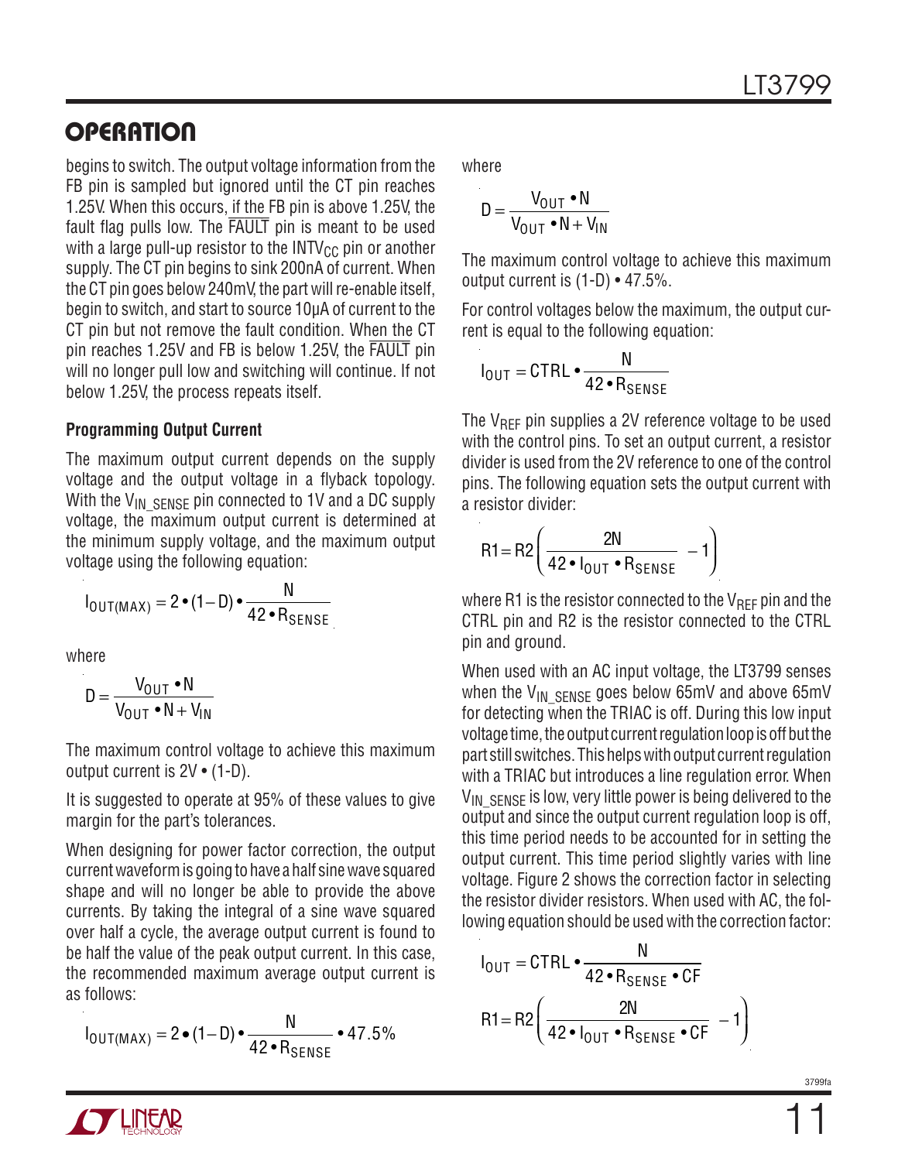begins to switch. The output voltage information from the FB pin is sampled but ignored until the CT pin reaches 1.25V. When this occurs, if the FB pin is above 1.25V, the fault flag pulls low. The FAULT pin is meant to be used with a large pull-up resistor to the  $INTV_{CC}$  pin or another supply. The CT pin begins to sink 200nA of current. When the CT pin goes below 240mV, the part will re-enable itself, begin to switch, and start to source 10µA of current to the CT pin but not remove the fault condition. When the CT pin reaches 1.25V and FB is below 1.25V, the FAULT pin will no longer pull low and switching will continue. If not below 1.25V, the process repeats itself.

#### **Programming Output Current**

The maximum output current depends on the supply voltage and the output voltage in a flyback topology. With the  $V_{IN\_SENSE}$  pin connected to 1V and a DC supply voltage, the maximum output current is determined at the minimum supply voltage, and the maximum output voltage using the following equation:

$$
I_{\text{OUT}(MAX)} = 2 \cdot (1 - D) \cdot \frac{N}{42 \cdot R_{\text{SENSE}}}
$$

where

$$
D = \frac{V_{\text{OUT}} \cdot N}{V_{\text{OUT}} \cdot N + V_{\text{IN}}}
$$

The maximum control voltage to achieve this maximum output current is 2V • (1-D).

It is suggested to operate at 95% of these values to give margin for the part's tolerances.

When designing for power factor correction, the output current waveform is going to have a half sine wave squared shape and will no longer be able to provide the above currents. By taking the integral of a sine wave squared over half a cycle, the average output current is found to be half the value of the peak output current. In this case, the recommended maximum average output current is as follows:

$$
I_{\text{OUT}(MAX)} = 2 \cdot (1 - D) \cdot \frac{N}{42 \cdot R_{\text{SENSE}}} \cdot 47.5\%
$$

where

$$
D = \frac{V_{OUT} \cdot N}{V_{OUT} \cdot N + V_{IN}}
$$

The maximum control voltage to achieve this maximum output current is (1-D) • 47.5%.

For control voltages below the maximum, the output current is equal to the following equation:

$$
I_{\text{OUT}} = \text{CTRL} \cdot \frac{N}{42 \cdot R_{\text{SENSE}}}
$$

The  $V_{\text{RFF}}$  pin supplies a 2V reference voltage to be used with the control pins. To set an output current, a resistor divider is used from the 2V reference to one of the control pins. The following equation sets the output current with a resistor divider:

$$
R1 = R2 \left( \frac{2N}{42 \cdot I_{OUT} \cdot R_{SENSE}} - 1 \right)
$$

where R1 is the resistor connected to the  $V_{\text{RFF}}$  pin and the CTRL pin and R2 is the resistor connected to the CTRL pin and ground.

When used with an AC input voltage, the LT3799 senses when the  $V_{IN}$  sense goes below 65mV and above 65mV for detecting when the TRIAC is off. During this low input voltage time, the output current regulation loop is off but the part still switches. This helps with output current regulation with a TRIAC but introduces a line regulation error. When  $V_{IN\_SENSE}$  is low, very little power is being delivered to the output and since the output current regulation loop is off, this time period needs to be accounted for in setting the output current. This time period slightly varies with line voltage. Figure 2 shows the correction factor in selecting the resistor divider resistors. When used with AC, the following equation should be used with the correction factor:

$$
I_{\text{OUT}} = \text{CTRL} \cdot \frac{N}{42 \cdot R_{\text{SENSE}} \cdot \text{CF}}
$$

$$
R1 = R2 \left( \frac{2N}{42 \cdot I_{\text{OUT}} \cdot R_{\text{SENSE}} \cdot \text{CF}} - 1 \right)
$$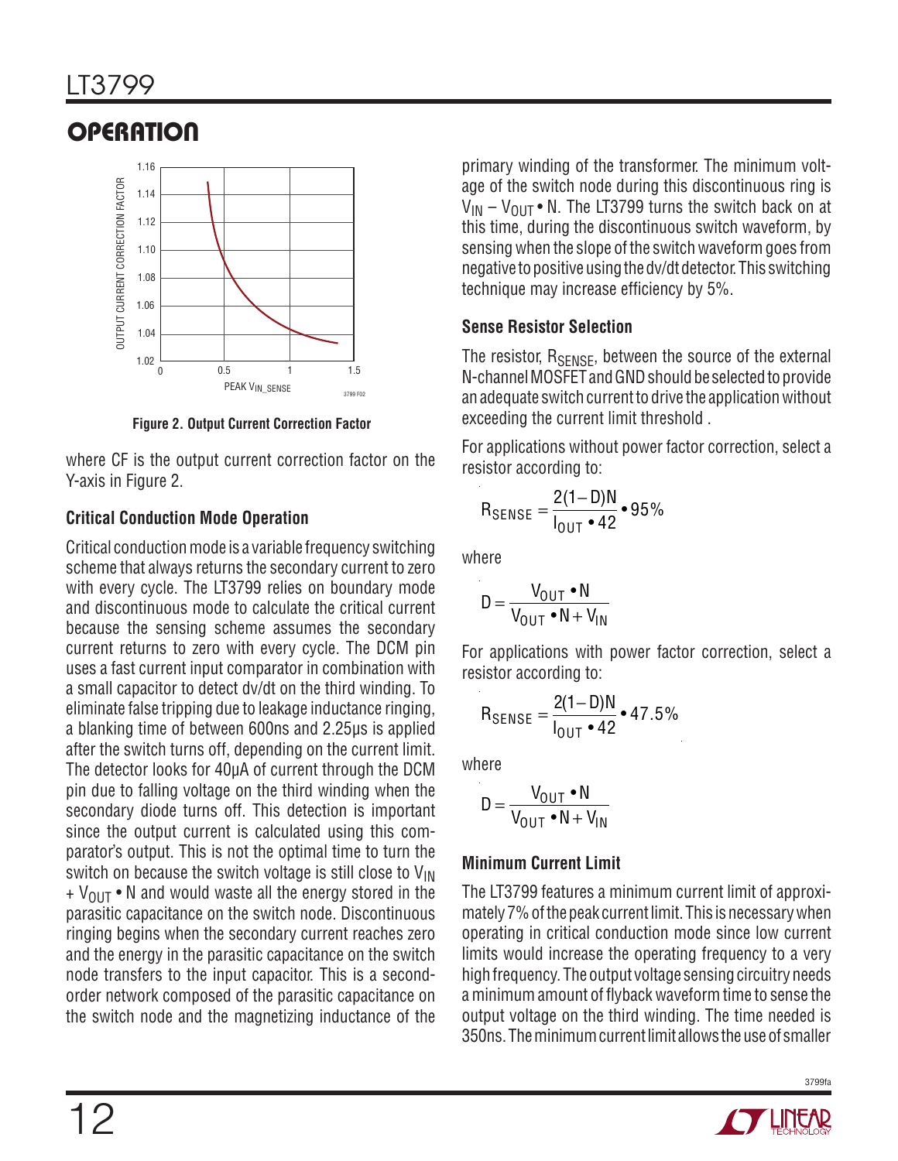

**Figure 2. Output Current Correction Factor**

where CF is the output current correction factor on the Y-axis in Figure 2.

## **Critical Conduction Mode Operation**

Critical conduction mode is a variable frequency switching scheme that always returns the secondary current to zero with every cycle. The LT3799 relies on boundary mode and discontinuous mode to calculate the critical current because the sensing scheme assumes the secondary current returns to zero with every cycle. The DCM pin uses a fast current input comparator in combination with a small capacitor to detect dv/dt on the third winding. To eliminate false tripping due to leakage inductance ringing, a blanking time of between 600ns and 2.25µs is applied after the switch turns off, depending on the current limit. The detector looks for 40µA of current through the DCM pin due to falling voltage on the third winding when the secondary diode turns off. This detection is important since the output current is calculated using this comparator's output. This is not the optimal time to turn the switch on because the switch voltage is still close to V<sub>IN</sub>  $+$  V<sub>OUT</sub> • N and would waste all the energy stored in the parasitic capacitance on the switch node. Discontinuous ringing begins when the secondary current reaches zero and the energy in the parasitic capacitance on the switch node transfers to the input capacitor. This is a secondorder network composed of the parasitic capacitance on the switch node and the magnetizing inductance of the

primary winding of the transformer. The minimum voltage of the switch node during this discontinuous ring is  $V_{IN}$  –  $V_{OIII}$  • N. The LT3799 turns the switch back on at this time, during the discontinuous switch waveform, by sensing when the slope of the switch waveform goes from negative to positive using the dv/dt detector. This switching technique may increase efficiency by 5%.

## **Sense Resistor Selection**

The resistor, R<sub>SENSE</sub>, between the source of the external N-channel MOSFET and GND should be selected to provide an adequate switch current to drive the application without exceeding the current limit threshold .

For applications without power factor correction, select a resistor according to:

$$
R_{\text{SENSE}} = \frac{2(1-D)N}{I_{\text{OUT}} \cdot 42} \cdot 95\%
$$

where

$$
D = \frac{V_{OUT} \cdot N}{V_{OUT} \cdot N + V_{IN}}
$$

For applications with power factor correction, select a resistor according to:

$$
R_{\text{SENSE}} = \frac{2(1 - D)N}{I_{\text{OUT}} \cdot 42} \cdot 47.5\%
$$

where

$$
D = \frac{V_{OUT} \cdot N}{V_{OUT} \cdot N + V_{IN}}
$$

## **Minimum Current Limit**

The LT3799 features a minimum current limit of approximately 7% of the peak current limit. This is necessary when operating in critical conduction mode since low current limits would increase the operating frequency to a very high frequency. The output voltage sensing circuitry needs a minimum amount of flyback waveform time to sense the output voltage on the third winding. The time needed is 350ns. The minimum current limit allows the use of smaller



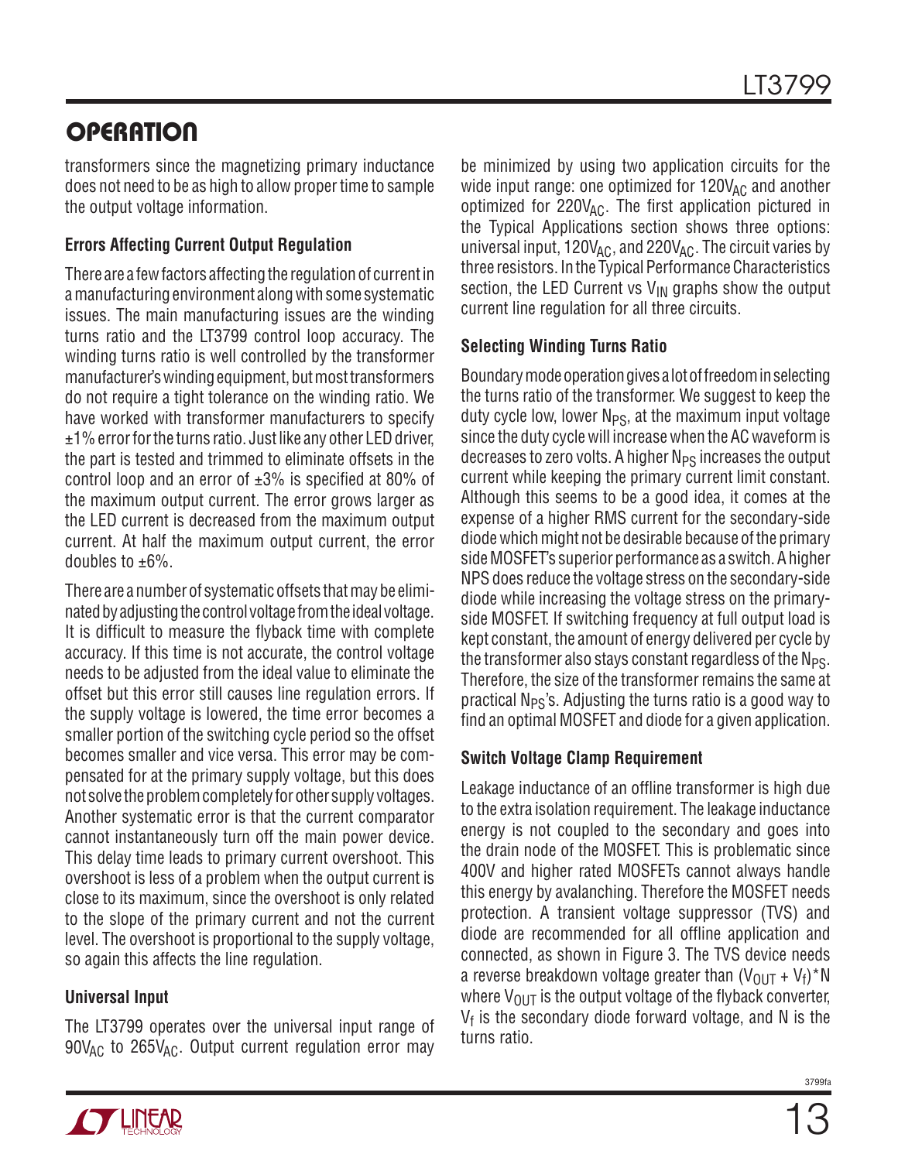transformers since the magnetizing primary inductance does not need to be as high to allow proper time to sample the output voltage information.

## **Errors Affecting Current Output Regulation**

There are a few factors affecting the regulation of current in a manufacturing environment along with some systematic issues. The main manufacturing issues are the winding turns ratio and the LT3799 control loop accuracy. The winding turns ratio is well controlled by the transformer manufacturer's winding equipment, but most transformers do not require a tight tolerance on the winding ratio. We have worked with transformer manufacturers to specify  $±1%$  error for the turns ratio. Just like any other LED driver, the part is tested and trimmed to eliminate offsets in the control loop and an error of  $\pm 3\%$  is specified at 80% of the maximum output current. The error grows larger as the LED current is decreased from the maximum output current. At half the maximum output current, the error doubles to  $\pm 6\%$ .

There are a number of systematic offsets that may be eliminated by adjusting the control voltage from the ideal voltage. It is difficult to measure the flyback time with complete accuracy. If this time is not accurate, the control voltage needs to be adjusted from the ideal value to eliminate the offset but this error still causes line regulation errors. If the supply voltage is lowered, the time error becomes a smaller portion of the switching cycle period so the offset becomes smaller and vice versa. This error may be compensated for at the primary supply voltage, but this does not solve the problem completely for other supply voltages. Another systematic error is that the current comparator cannot instantaneously turn off the main power device. This delay time leads to primary current overshoot. This overshoot is less of a problem when the output current is close to its maximum, since the overshoot is only related to the slope of the primary current and not the current level. The overshoot is proportional to the supply voltage, so again this affects the line regulation.

### **Universal Input**

The LT3799 operates over the universal input range of  $90V_{AC}$  to  $265V_{AC}$ . Output current regulation error may

be minimized by using two application circuits for the wide input range: one optimized for  $120V_{AC}$  and another optimized for  $220V_{AC}$ . The first application pictured in the Typical Applications section shows three options: universal input,  $120V_{AC}$ , and  $220V_{AC}$ . The circuit varies by three resistors. In the Typical Performance Characteristics section, the LED Current vs  $V_{IN}$  graphs show the output current line regulation for all three circuits.

#### **Selecting Winding Turns Ratio**

Boundary mode operation gives a lot of freedom in selecting the turns ratio of the transformer. We suggest to keep the duty cycle low, lower  $N_{PS}$ , at the maximum input voltage since the duty cycle will increase when the AC waveform is decreases to zero volts. A higher  $N_{PS}$  increases the output current while keeping the primary current limit constant. Although this seems to be a good idea, it comes at the expense of a higher RMS current for the secondary-side diode which might not be desirable because of the primary side MOSFET's superior performance as a switch. A higher NPS does reduce the voltage stress on the secondary-side diode while increasing the voltage stress on the primaryside MOSFET. If switching frequency at full output load is kept constant, the amount of energy delivered per cycle by the transformer also stays constant regardless of the  $N_{PS}$ . Therefore, the size of the transformer remains the same at practical  $N_{PS}$ 's. Adjusting the turns ratio is a good way to find an optimal MOSFET and diode for a given application.

### **Switch Voltage Clamp Requirement**

Leakage inductance of an offline transformer is high due to the extra isolation requirement. The leakage inductance energy is not coupled to the secondary and goes into the drain node of the MOSFET. This is problematic since 400V and higher rated MOSFETs cannot always handle this energy by avalanching. Therefore the MOSFET needs protection. A transient voltage suppressor (TVS) and diode are recommended for all offline application and connected, as shown in Figure 3. The TVS device needs a reverse breakdown voltage greater than  $(V_{\text{OUT}} + V_f)^*N$ where  $V_{OUT}$  is the output voltage of the flyback converter,  $V_f$  is the secondary diode forward voltage, and N is the turns ratio.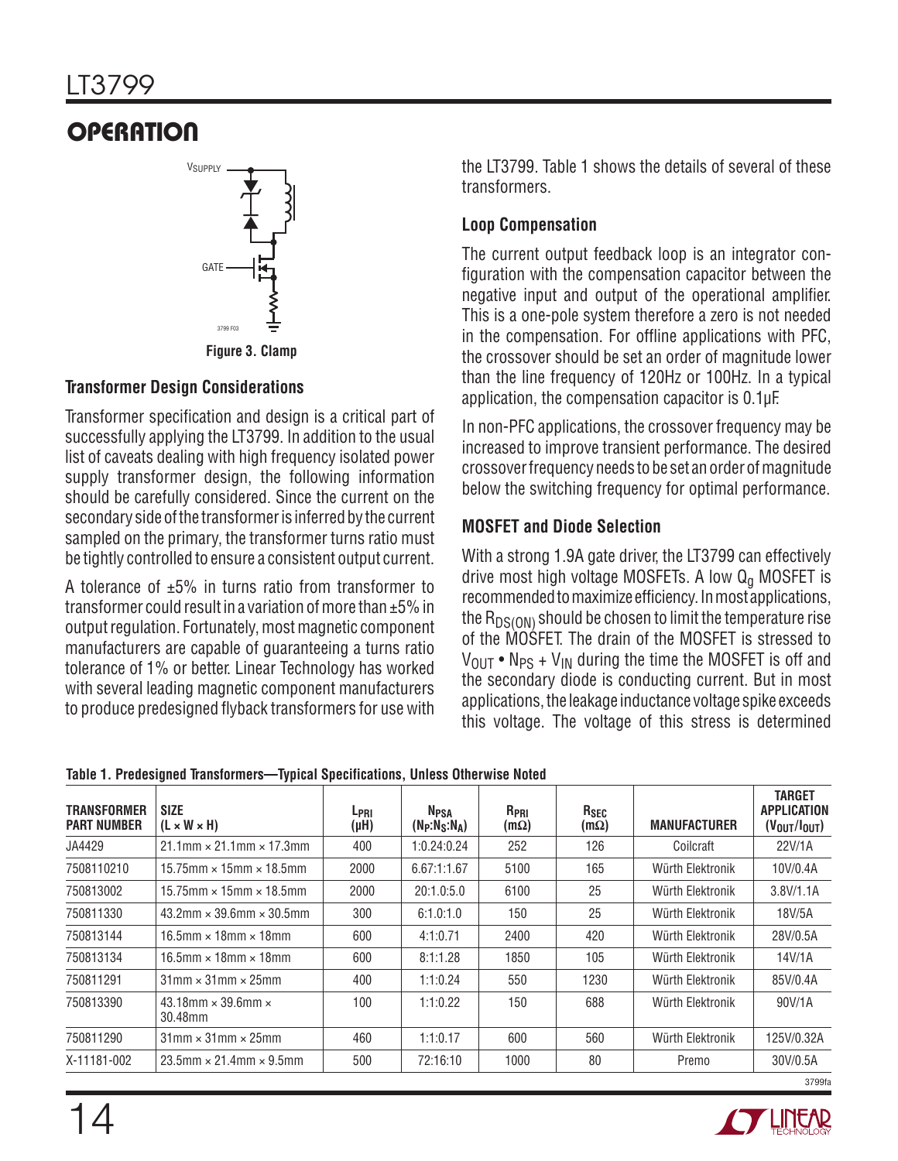

#### **Figure 3. Clamp**

#### **Transformer Design Considerations**

Transformer specification and design is a critical part of successfully applying the LT3799. In addition to the usual list of caveats dealing with high frequency isolated power supply transformer design, the following information should be carefully considered. Since the current on the secondary side of the transformer is inferred by the current sampled on the primary, the transformer turns ratio must be tightly controlled to ensure a consistent output current.

A tolerance of  $\pm 5\%$  in turns ratio from transformer to transformer could result in a variation of more than ±5% in output regulation. Fortunately, most magnetic component manufacturers are capable of guaranteeing a turns ratio tolerance of 1% or better. Linear Technology has worked with several leading magnetic component manufacturers to produce predesigned flyback transformers for use with the LT3799. Table 1 shows the details of several of these transformers.

### **Loop Compensation**

The current output feedback loop is an integrator configuration with the compensation capacitor between the negative input and output of the operational amplifier. This is a one-pole system therefore a zero is not needed in the compensation. For offline applications with PFC, the crossover should be set an order of magnitude lower than the line frequency of 120Hz or 100Hz. In a typical application, the compensation capacitor is 0.1µF.

In non-PFC applications, the crossover frequency may be increased to improve transient performance. The desired crossover frequency needs to be set an order of magnitude below the switching frequency for optimal performance.

### **MOSFET and Diode Selection**

With a strong 1.9A gate driver, the LT3799 can effectively drive most high voltage MOSFETs. A low  $Q<sub>q</sub>$  MOSFET is recommended to maximize efficiency. In most applications, the  $R_{DS(ON)}$  should be chosen to limit the temperature rise of the MOSFET. The drain of the MOSFET is stressed to  $V_{\text{OUT}}$  • N<sub>PS</sub> + V<sub>IN</sub> during the time the MOSFET is off and the secondary diode is conducting current. But in most applications, the leakage inductance voltage spike exceeds this voltage. The voltage of this stress is determined

| <b>TRANSFORMER</b><br><b>PART NUMBER</b> | <b>SIZE</b><br>$(L \times W \times H)$      | L <sub>PRI</sub><br>$(\mu H)$ | <b>N<sub>PSA</sub></b><br>$(N_P:N_S:N_A)$ | R <sub>PRI</sub><br>$(m\Omega)$ | R <sub>SEC</sub><br>$(m\Omega)$ | <b>MANUFACTURER</b> | <b>TARGET</b><br><b>APPLICATION</b><br>$(V_{\text{OUT}}/I_{\text{OUT}})$ |
|------------------------------------------|---------------------------------------------|-------------------------------|-------------------------------------------|---------------------------------|---------------------------------|---------------------|--------------------------------------------------------------------------|
| JA4429                                   | $21.1$ mm $\times$ 21.1mm $\times$ 17.3mm   | 400                           | 1:0.24:0.24                               | 252                             | 126                             | Coilcraft           | 22V/1A                                                                   |
| 7508110210                               | $15.75$ mm $\times$ 15mm $\times$ 18.5mm    | 2000                          | 6.67:1:1.67                               | 5100                            | 165                             | Würth Elektronik    | 10V/0.4A                                                                 |
| 750813002                                | $15.75$ mm $\times$ 15mm $\times$ 18.5mm    | 2000                          | 20:1.0:5.0                                | 6100                            | 25                              | Würth Elektronik    | 3.8V/1.1A                                                                |
| 750811330                                | $43.2$ mm $\times$ 39.6mm $\times$ 30.5mm   | 300                           | 6:1.0:1.0                                 | 150                             | 25                              | Würth Elektronik    | 18V/5A                                                                   |
| 750813144                                | $16.5$ mm $\times$ 18mm $\times$ 18mm       | 600                           | 4:1:0.71                                  | 2400                            | 420                             | Würth Elektronik    | 28V/0.5A                                                                 |
| 750813134                                | 16.5mm $\times$ 18mm $\times$ 18mm          | 600                           | 8:1:1.28                                  | 1850                            | 105                             | Würth Elektronik    | 14V/1A                                                                   |
| 750811291                                | $31$ mm $\times$ 31mm $\times$ 25mm         | 400                           | 1:1:0.24                                  | 550                             | 1230                            | Würth Elektronik    | 85V/0.4A                                                                 |
| 750813390                                | 43.18mm $\times$ 39.6mm $\times$<br>30.48mm | 100                           | 1:1:0.22                                  | 150                             | 688                             | Würth Elektronik    | 90V/1A                                                                   |
| 750811290                                | $31$ mm $\times$ 31mm $\times$ 25mm         | 460                           | 1:1:0.17                                  | 600                             | 560                             | Würth Elektronik    | 125V/0.32A                                                               |
| X-11181-002                              | $23.5$ mm $\times$ 21.4mm $\times$ 9.5mm    | 500                           | 72:16:10                                  | 1000                            | 80                              | Premo               | 30V/0.5A                                                                 |
|                                          |                                             |                               |                                           |                                 |                                 |                     | 3799f <sub>2</sub>                                                       |

**Table 1. Predesigned Transformers—Typical Specifications, Unless Otherwise Noted**

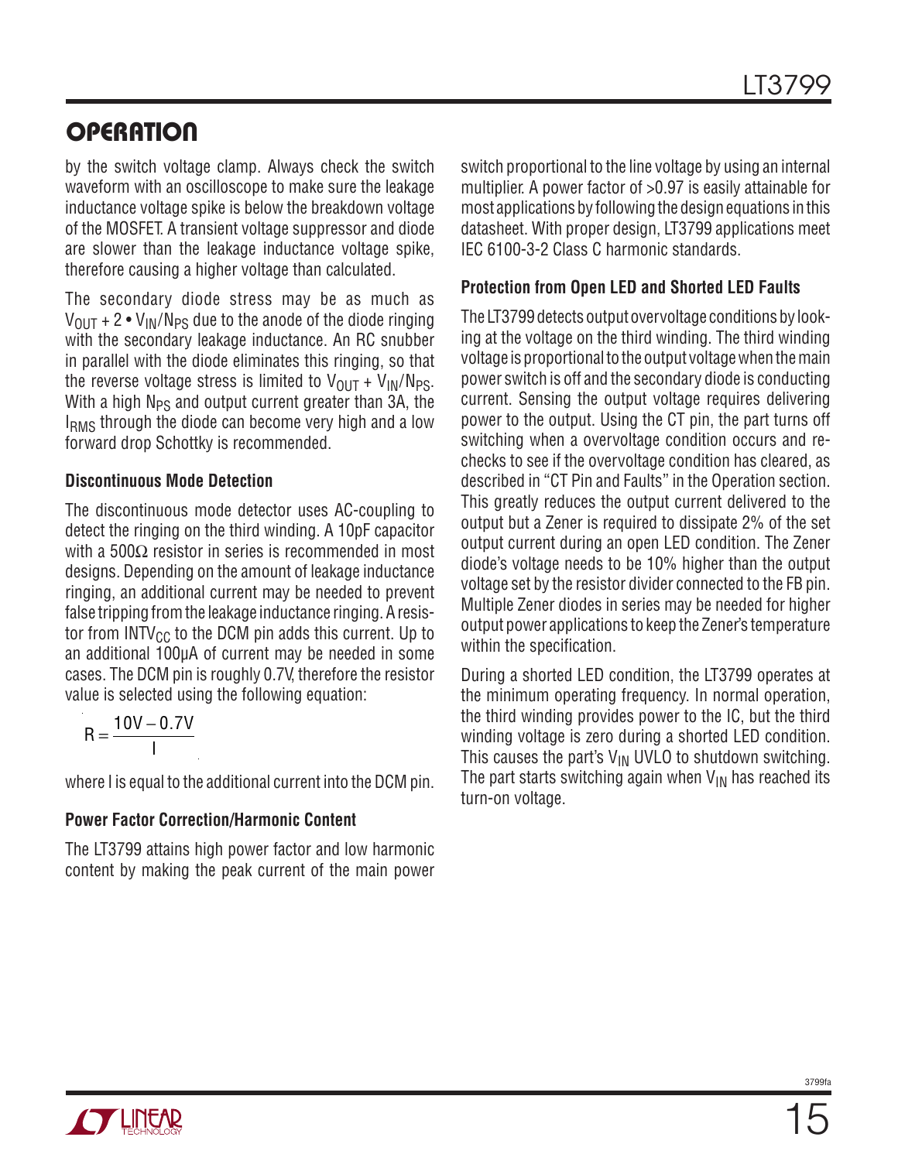by the switch voltage clamp. Always check the switch waveform with an oscilloscope to make sure the leakage inductance voltage spike is below the breakdown voltage of the MOSFET. A transient voltage suppressor and diode are slower than the leakage inductance voltage spike, therefore causing a higher voltage than calculated.

The secondary diode stress may be as much as  $V_{\text{OUT}}$  + 2 •  $V_{\text{IN}}/N_{\text{PS}}$  due to the anode of the diode ringing with the secondary leakage inductance. An RC snubber in parallel with the diode eliminates this ringing, so that the reverse voltage stress is limited to  $V_{OIII} + V_{IN}/N_{PS}$ . With a high  $N_{PS}$  and output current greater than 3A, the I<sub>RMS</sub> through the diode can become very high and a low forward drop Schottky is recommended.

#### **Discontinuous Mode Detection**

The discontinuous mode detector uses AC-coupling to detect the ringing on the third winding. A 10pF capacitor with a 500 $\Omega$  resistor in series is recommended in most designs. Depending on the amount of leakage inductance ringing, an additional current may be needed to prevent false tripping from the leakage inductance ringing. A resistor from  $INTV_{CC}$  to the DCM pin adds this current. Up to an additional 100µA of current may be needed in some cases. The DCM pin is roughly 0.7V, therefore the resistor value is selected using the following equation:

$$
R = \frac{10V - 0.7V}{I}
$$

where I is equal to the additional current into the DCM pin.

#### **Power Factor Correction/Harmonic Content**

The LT3799 attains high power factor and low harmonic content by making the peak current of the main power switch proportional to the line voltage by using an internal multiplier. A power factor of >0.97 is easily attainable for most applications by following the design equations in this datasheet. With proper design, LT3799 applications meet IEC 6100-3-2 Class C harmonic standards.

#### **Protection from Open LED and Shorted LED Faults**

The LT3799 detects output overvoltage conditions by looking at the voltage on the third winding. The third winding voltage is proportional to the output voltage when the main power switch is off and the secondary diode is conducting current. Sensing the output voltage requires delivering power to the output. Using the CT pin, the part turns off switching when a overvoltage condition occurs and rechecks to see if the overvoltage condition has cleared, as described in "CT Pin and Faults" in the Operation section. This greatly reduces the output current delivered to the output but a Zener is required to dissipate 2% of the set output current during an open LED condition. The Zener diode's voltage needs to be 10% higher than the output voltage set by the resistor divider connected to the FB pin. Multiple Zener diodes in series may be needed for higher output power applications to keep the Zener's temperature within the specification.

During a shorted LED condition, the LT3799 operates at the minimum operating frequency. In normal operation, the third winding provides power to the IC, but the third winding voltage is zero during a shorted LED condition. This causes the part's  $V_{IN}$  UVLO to shutdown switching. The part starts switching again when  $V_{IN}$  has reached its turn-on voltage.

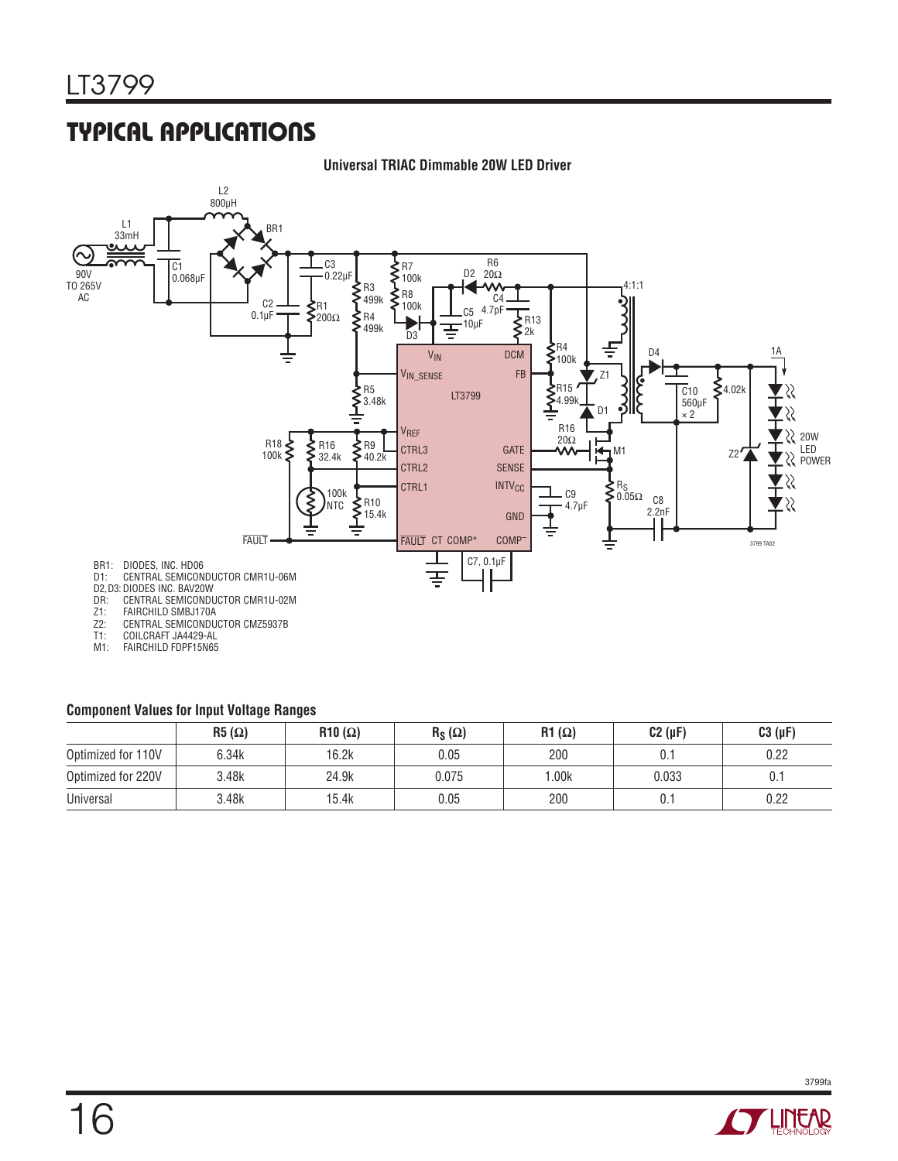## Typical Applications



#### **Universal TRIAC Dimmable 20W LED Driver**

#### **Component Values for Input Voltage Ranges**

|                    | $R5(\Omega)$ | $R10(\Omega)$ | $R_S(\Omega)$ | $R1(\Omega)$ | $C2(\mu F)$ | $C3(\mu F)$ |
|--------------------|--------------|---------------|---------------|--------------|-------------|-------------|
| Optimized for 110V | 6.34k        | 16.2k         | 0.05          | 200          | 0.1         | 0.22        |
| Optimized for 220V | 3.48k        | 24.9k         | 0.075         | .00k         | 0.033       | U.I         |
| Universal          | 3.48k        | 15.4k         | 0.05          | 200          |             | 0.22        |

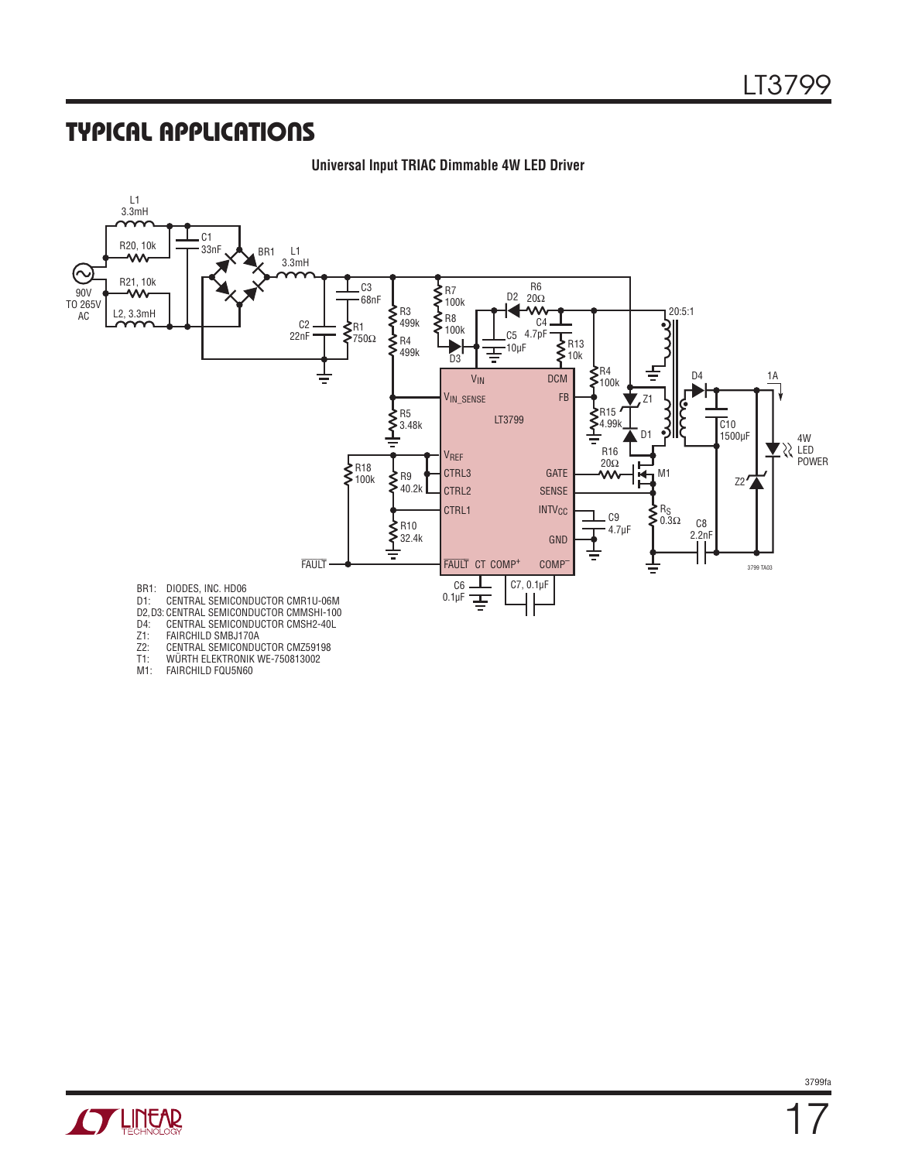## Typical Applications

#### **Universal Input TRIAC Dimmable 4W LED Driver**



- T1: WÜRTH ELEKTRONIK WE-750813002<br>M1: FAIRCHILD FQU5N60 FAIRCHILD FQU5N60
-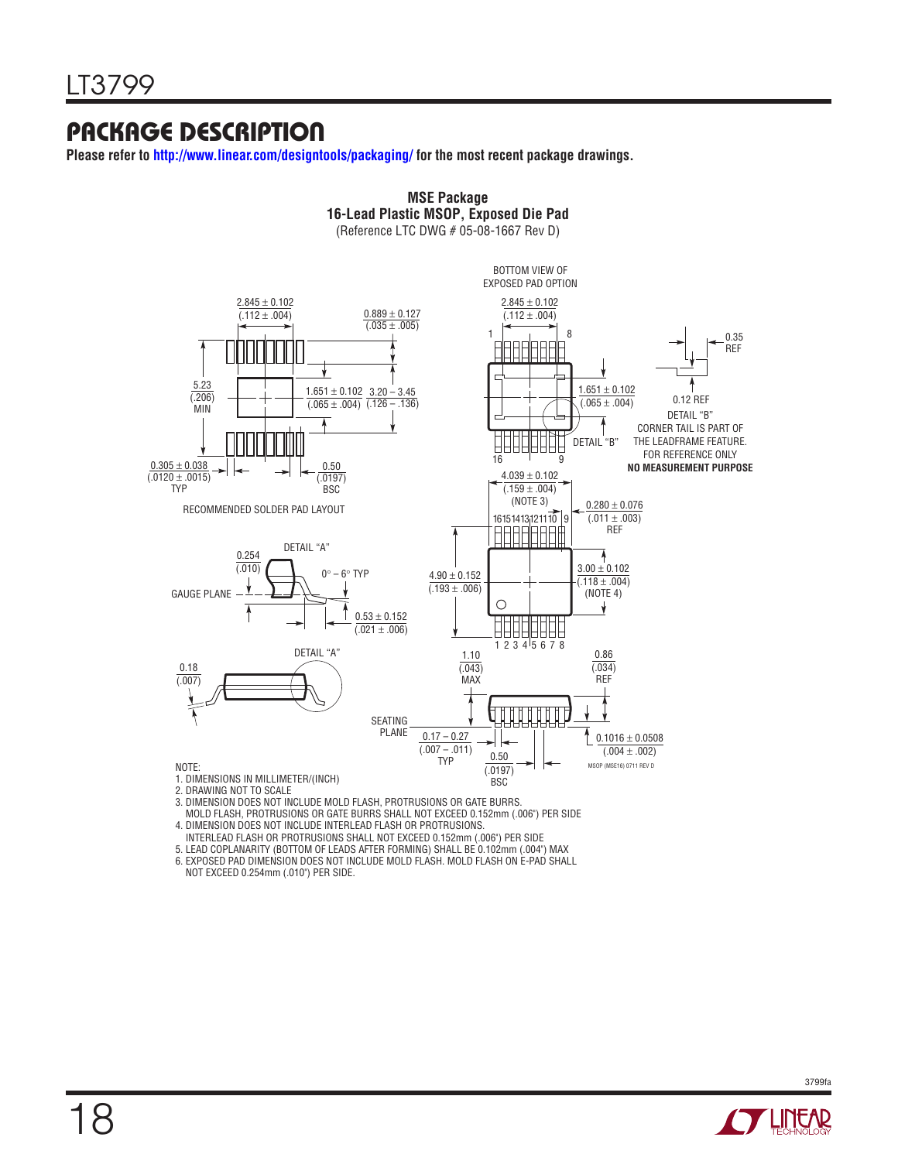## Package Description

**Please refer to http://www.linear.com/designtools/packaging/ for the most recent package drawings.**



**MSE Package**

3. DIMENSION DOES NOT INCLUDE MOLD FLASH, PROTRUSIONS OR GATE BURRS.

 MOLD FLASH, PROTRUSIONS OR GATE BURRS SHALL NOT EXCEED 0.152mm (.006") PER SIDE 4. DIMENSION DOES NOT INCLUDE INTERLEAD FLASH OR PROTRUSIONS.

INTERLEAD FLASH OR PROTRUSIONS SHALL NOT EXCEED 0.152mm (.006") PER SIDE

5. LEAD COPLANARITY (BOTTOM OF LEADS AFTER FORMING) SHALL BE 0.102mm (.004") MAX

6. EXPOSED PAD DIMENSION DOES NOT INCLUDE MOLD FLASH. MOLD FLASH ON E-PAD SHALL NOT EXCEED 0.254mm (.010") PER SIDE.

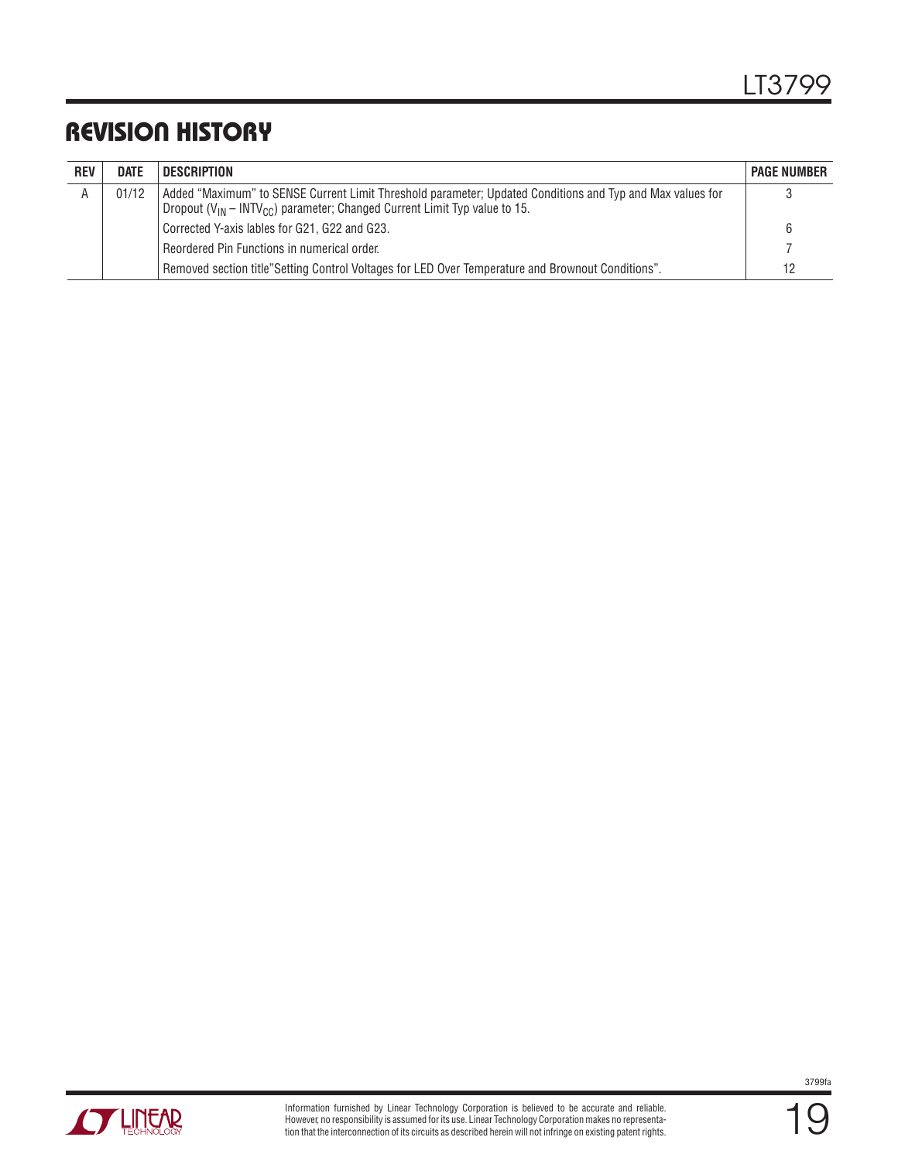## Revision History

| <b>REV</b> | <b>DATE</b> | DESCRIPTION                                                                                                                                                                                                     | <b>PAGE NUMBER</b> |
|------------|-------------|-----------------------------------------------------------------------------------------------------------------------------------------------------------------------------------------------------------------|--------------------|
| A          | 01/12       | Added "Maximum" to SENSE Current Limit Threshold parameter; Updated Conditions and Typ and Max values for<br>Dropout ( $V_{\text{IN}}$ – INTV <sub>CC</sub> ) parameter; Changed Current Limit Typ value to 15. |                    |
|            |             | Corrected Y-axis lables for G21, G22 and G23.                                                                                                                                                                   | 6                  |
|            |             | Reordered Pin Functions in numerical order.                                                                                                                                                                     |                    |
|            |             | Removed section title"Setting Control Voltages for LED Over Temperature and Brownout Conditions".                                                                                                               | 12                 |